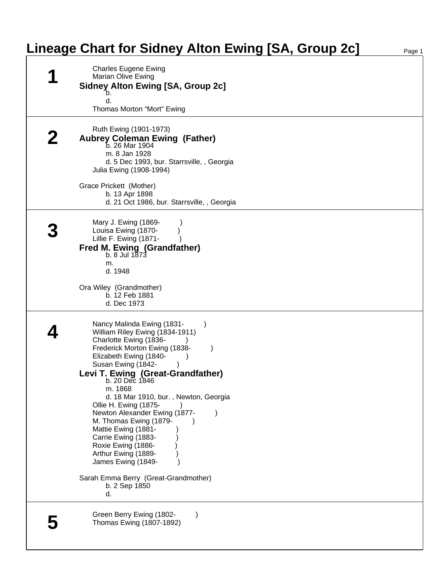## **Lineage Chart for Sidney Alton Ewing [SA, Group 2c]**

| <b>Charles Eugene Ewing</b><br>Marian Olive Ewing<br><b>Sidney Alton Ewing [SA, Group 2c]</b><br>b.<br>d.<br>Thomas Morton "Mort" Ewing                                                                                                                                                                                                                                                                                                                                                                                                                 |
|---------------------------------------------------------------------------------------------------------------------------------------------------------------------------------------------------------------------------------------------------------------------------------------------------------------------------------------------------------------------------------------------------------------------------------------------------------------------------------------------------------------------------------------------------------|
| Ruth Ewing (1901-1973)<br><b>Aubrey Coleman Ewing (Father)</b><br>b. 26 Mar 1904<br>m. 8 Jan 1928<br>d. 5 Dec 1993, bur. Starrsville, , Georgia<br>Julia Ewing (1908-1994)                                                                                                                                                                                                                                                                                                                                                                              |
| Grace Prickett (Mother)<br>b. 13 Apr 1898<br>d. 21 Oct 1986, bur. Starrsville, , Georgia                                                                                                                                                                                                                                                                                                                                                                                                                                                                |
| Mary J. Ewing (1869-<br>Louisa Ewing (1870-<br>Lillie F. Ewing (1871-<br><b>Fred M. Ewing (Grandfather)</b><br>$b. 8$ Jul 1873<br>m.<br>d. 1948<br>Ora Wiley (Grandmother)<br>b. 12 Feb 1881<br>d. Dec 1973                                                                                                                                                                                                                                                                                                                                             |
| Nancy Malinda Ewing (1831-<br>William Riley Ewing (1834-1911)<br>Charlotte Ewing (1836-<br>Frederick Morton Ewing (1838-<br>Elizabeth Ewing (1840-<br>Susan Ewing (1842-<br>Levi T. Ewing (Great-Grandfather)<br>b. 20 Dec 1846<br>m. 1868<br>d. 18 Mar 1910, bur., Newton, Georgia<br>Ollie H. Ewing (1875-<br>Newton Alexander Ewing (1877-<br>M. Thomas Ewing (1879-<br>Mattie Ewing (1881-<br>Carrie Ewing (1883-<br>Roxie Ewing (1886-<br>Arthur Ewing (1889-<br>James Ewing (1849-<br>Sarah Emma Berry (Great-Grandmother)<br>b. 2 Sep 1850<br>d. |
| Green Berry Ewing (1802-<br>Thomas Ewing (1807-1892)                                                                                                                                                                                                                                                                                                                                                                                                                                                                                                    |